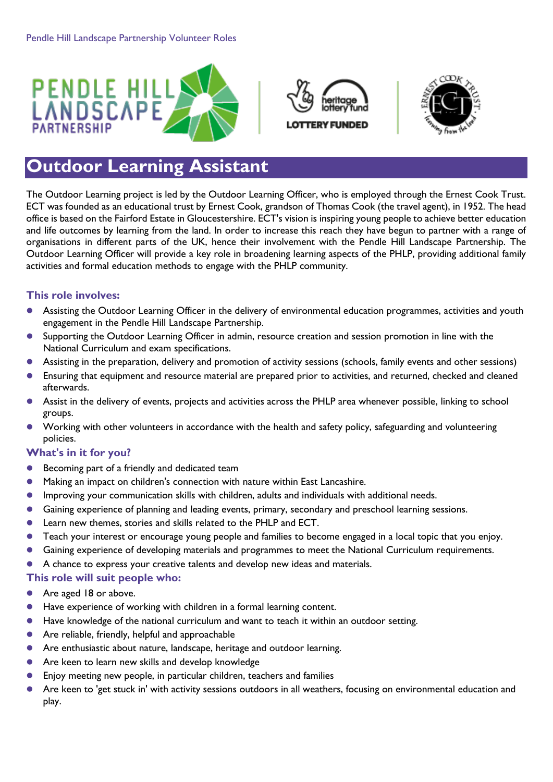





# **Outdoor Learning Assistant**

The Outdoor Learning project is led by the Outdoor Learning Officer, who is employed through the Ernest Cook Trust. ECT was founded as an educational trust by Ernest Cook, grandson of Thomas Cook (the travel agent), in 1952. The head office is based on the Fairford Estate in Gloucestershire. ECT's vision is inspiring young people to achieve better education and life outcomes by learning from the land. In order to increase this reach they have begun to partner with a range of organisations in different parts of the UK, hence their involvement with the Pendle Hill Landscape Partnership. The Outdoor Learning Officer will provide a key role in broadening learning aspects of the PHLP, providing additional family activities and formal education methods to engage with the PHLP community.

## **This role involves:**

- Assisting the Outdoor Learning Officer in the delivery of environmental education programmes, activities and youth engagement in the Pendle Hill Landscape Partnership.
- Supporting the Outdoor Learning Officer in admin, resource creation and session promotion in line with the National Curriculum and exam specifications.
- Assisting in the preparation, delivery and promotion of activity sessions (schools, family events and other sessions)
- Ensuring that equipment and resource material are prepared prior to activities, and returned, checked and cleaned afterwards.
- Assist in the delivery of events, projects and activities across the PHLP area whenever possible, linking to school groups.
- Working with other volunteers in accordance with the health and safety policy, safeguarding and volunteering policies.

### **What's in it for you?**

- **•** Becoming part of a friendly and dedicated team
- Making an impact on children's connection with nature within East Lancashire.
- Improving your communication skills with children, adults and individuals with additional needs.
- Gaining experience of planning and leading events, primary, secondary and preschool learning sessions.
- Learn new themes, stories and skills related to the PHLP and ECT.
- Teach your interest or encourage young people and families to become engaged in a local topic that you enjoy.
- Gaining experience of developing materials and programmes to meet the National Curriculum requirements.
- A chance to express your creative talents and develop new ideas and materials.

### **This role will suit people who:**

- **Are aged 18 or above.**
- Have experience of working with children in a formal learning content.
- Have knowledge of the national curriculum and want to teach it within an outdoor setting.
- Are reliable, friendly, helpful and approachable
- **•** Are enthusiastic about nature, landscape, heritage and outdoor learning.
- Are keen to learn new skills and develop knowledge
- Enjoy meeting new people, in particular children, teachers and families
- Are keen to 'get stuck in' with activity sessions outdoors in all weathers, focusing on environmental education and play.